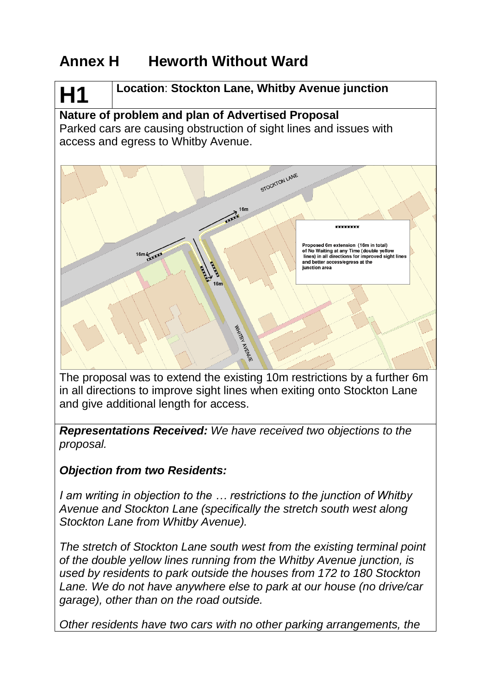## **Annex H Heworth Without Ward**

# **H1 Location**: **Stockton Lane, Whitby Avenue junction**

**Nature of problem and plan of Advertised Proposal** Parked cars are causing obstruction of sight lines and issues with access and egress to Whitby Avenue.



The proposal was to extend the existing 10m restrictions by a further 6m in all directions to improve sight lines when exiting onto Stockton Lane and give additional length for access.

*Representations Received: We have received two objections to the proposal.*

## *Objection from two Residents:*

*I am writing in objection to the … restrictions to the junction of Whitby Avenue and Stockton Lane (specifically the stretch south west along Stockton Lane from Whitby Avenue).* 

*The stretch of Stockton Lane south west from the existing terminal point of the double yellow lines running from the Whitby Avenue junction, is used by residents to park outside the houses from 172 to 180 Stockton Lane. We do not have anywhere else to park at our house (no drive/car garage), other than on the road outside.* 

*Other residents have two cars with no other parking arrangements, the*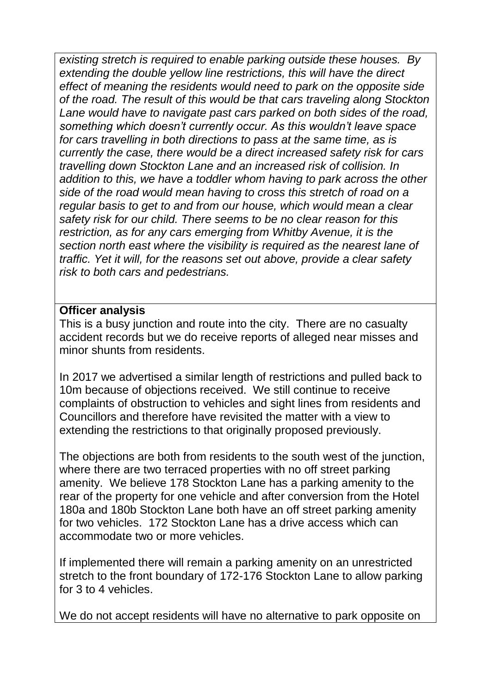*existing stretch is required to enable parking outside these houses. By extending the double yellow line restrictions, this will have the direct effect of meaning the residents would need to park on the opposite side of the road. The result of this would be that cars traveling along Stockton Lane would have to navigate past cars parked on both sides of the road, something which doesn't currently occur. As this wouldn't leave space for cars travelling in both directions to pass at the same time, as is currently the case, there would be a direct increased safety risk for cars travelling down Stockton Lane and an increased risk of collision. In addition to this, we have a toddler whom having to park across the other side of the road would mean having to cross this stretch of road on a regular basis to get to and from our house, which would mean a clear safety risk for our child. There seems to be no clear reason for this restriction, as for any cars emerging from Whitby Avenue, it is the section north east where the visibility is required as the nearest lane of traffic. Yet it will, for the reasons set out above, provide a clear safety risk to both cars and pedestrians.*

#### **Officer analysis**

This is a busy junction and route into the city. There are no casualty accident records but we do receive reports of alleged near misses and minor shunts from residents.

In 2017 we advertised a similar length of restrictions and pulled back to 10m because of objections received. We still continue to receive complaints of obstruction to vehicles and sight lines from residents and Councillors and therefore have revisited the matter with a view to extending the restrictions to that originally proposed previously.

The objections are both from residents to the south west of the junction, where there are two terraced properties with no off street parking amenity. We believe 178 Stockton Lane has a parking amenity to the rear of the property for one vehicle and after conversion from the Hotel 180a and 180b Stockton Lane both have an off street parking amenity for two vehicles. 172 Stockton Lane has a drive access which can accommodate two or more vehicles.

If implemented there will remain a parking amenity on an unrestricted stretch to the front boundary of 172-176 Stockton Lane to allow parking for 3 to 4 vehicles.

We do not accept residents will have no alternative to park opposite on